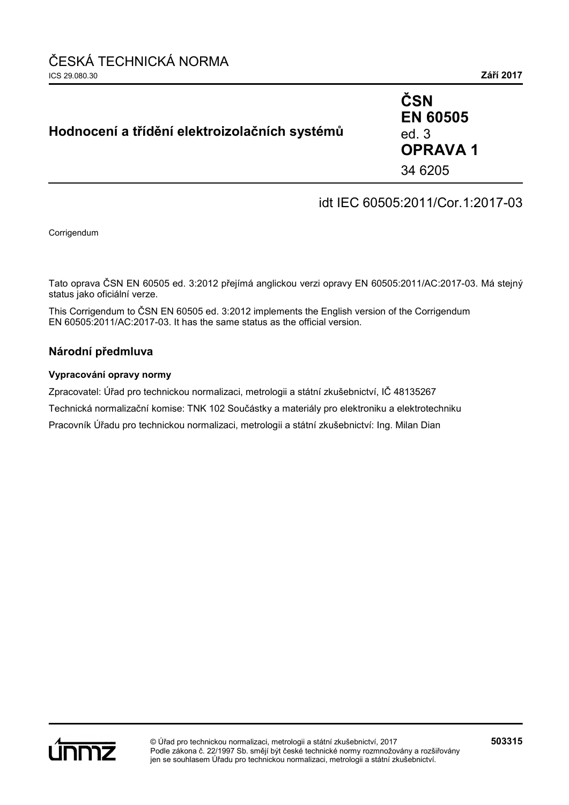## **Hodnocení a třídění elektroizolačních systémů ČSN EN 60505** ed. 3 **OPRAVA 1** 34 6205

## idt IEC 60505:2011/Cor.1:2017-03

Corrigendum

Tato oprava ČSN EN 60505 ed. 3:2012 přejímá anglickou verzi opravy EN 60505:2011/AC:2017-03. Má stejný status jako oficiální verze.

This Corrigendum to ČSN EN 60505 ed. 3:2012 implements the English version of the Corrigendum EN 60505:2011/AC:2017-03. It has the same status as the official version.

## **Národní předmluva**

### **Vypracování opravy normy**

Zpracovatel: Úřad pro technickou normalizaci, metrologii a státní zkušebnictví, IČ 48135267

Technická normalizační komise: TNK 102 Součástky a materiály pro elektroniku a elektrotechniku

Pracovník Úřadu pro technickou normalizaci, metrologii a státní zkušebnictví: Ing. Milan Dian

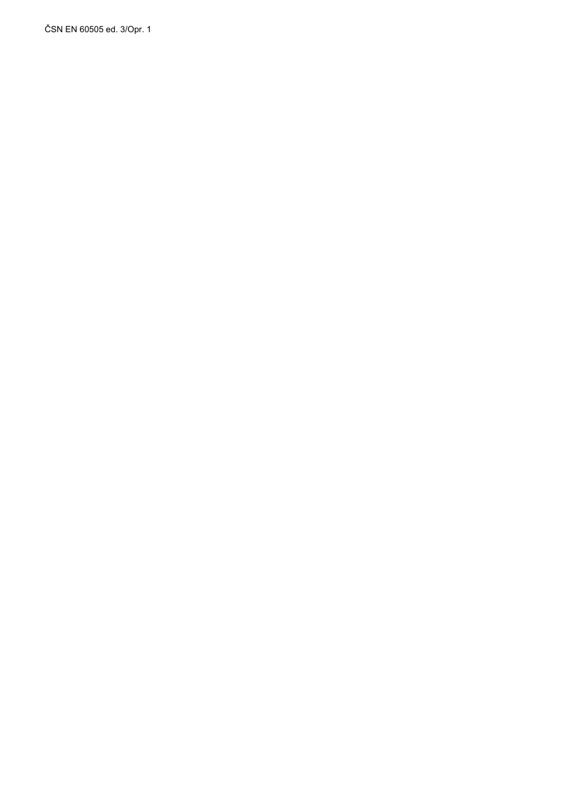ČSN EN 60505 ed. 3/Opr. 1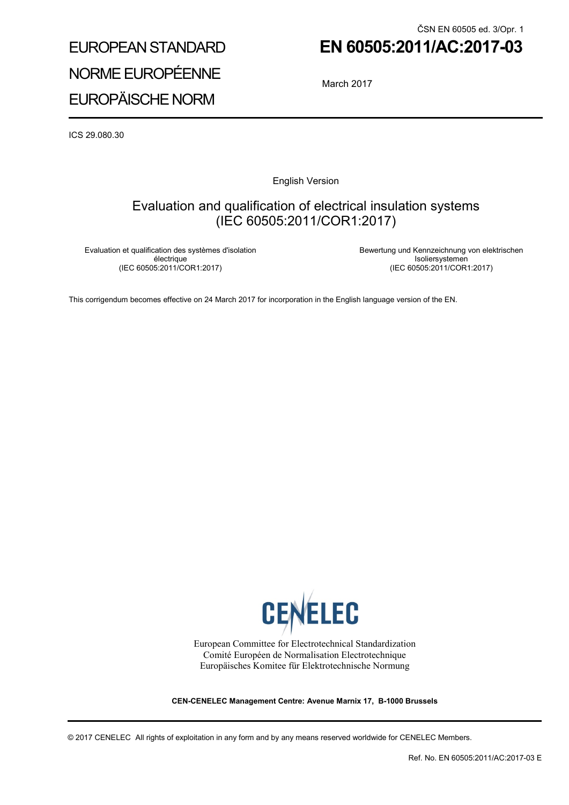# EUROPEAN STANDARD NORME EUROPÉENNE EUROPÄISCHE NORM



March 2017

ICS 29.080.30

English Version

## Evaluation and qualification of electrical insulation systems (IEC 60505:2011/COR1:2017)

Evaluation et qualification des systèmes d'isolation électrique (IEC 60505:2011/COR1:2017)

 Bewertung und Kennzeichnung von elektrischen Isoliersystemen (IEC 60505:2011/COR1:2017)

This corrigendum becomes effective on 24 March 2017 for incorporation in the English language version of the EN.



European Committee for Electrotechnical Standardization Comité Européen de Normalisation Electrotechnique Europäisches Komitee für Elektrotechnische Normung

**CEN-CENELEC Management Centre: Avenue Marnix 17, B-1000 Brussels** 

© 2017 CENELEC All rights of exploitation in any form and by any means reserved worldwide for CENELEC Members.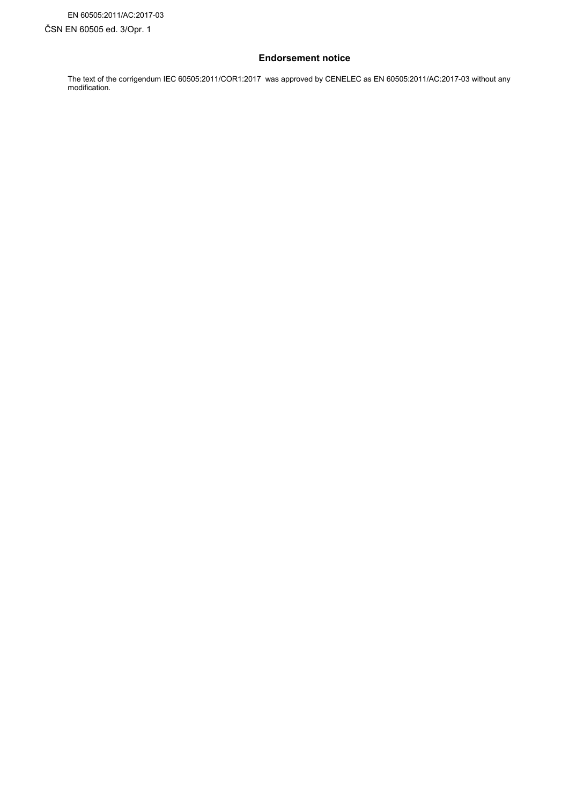EN 60505:2011/AC:2017-03 ČSN EN 60505 ed. 3/Opr. 1

### **Endorsement notice**

The text of the corrigendum IEC 60505:2011/COR1:2017 was approved by CENELEC as EN 60505:2011/AC:2017-03 without any modification.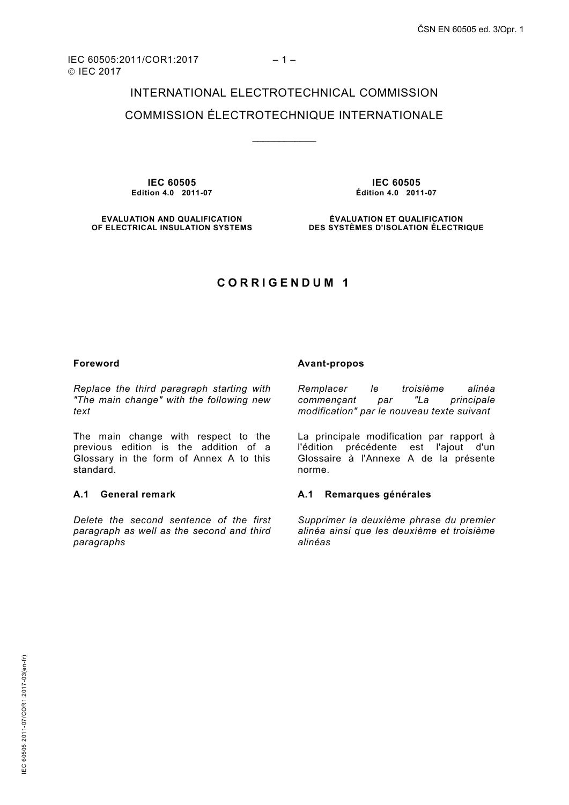IEC 60505:2011/COR1:2017 – 1 – © IEC 2017

## INTERNATIONAL ELECTROTECHNICAL COMMISSION

## COMMISSION ÉLECTROTECHNIQUE INTERNATIONALE

\_\_\_\_\_\_\_\_\_\_\_\_

**IEC 60505 Edition 4.0 2011-07**

**EVALUATION AND QUALIFICATION OF ELECTRICAL INSULATION SYSTEMS**

**IEC 60505 Édition 4.0 2011-07**

**ÉVALUATION ET QUALIFICATION DES SYSTÈMES D'ISOLATION ÉLECTRIQUE**

## **CORRIGENDUM 1**

#### **Foreword**

*Replace the third paragraph starting with "The main change" with the following new text*

The main change with respect to the previous edition is the addition of a Glossary in the form of Annex A to this standard.

### **A.1 General remark**

*Delete the second sentence of the first paragraph as well as the second and third paragraphs*

#### **Avant-propos**

*Remplacer le troisième alinéa commençant par "La principale modification" par le nouveau texte suivant*

La principale modification par rapport à l'édition précédente est l'ajout d'un Glossaire à l'Annexe A de la présente norme.

#### **A.1 Remarques générales**

*Supprimer la deuxième phrase du premier alinéa ainsi que les deuxième et troisième alinéas*